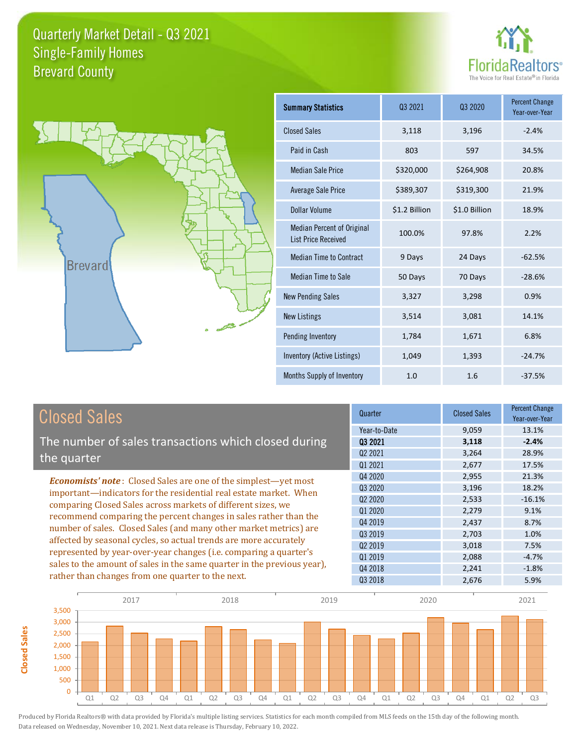



**Closed Sales**

**Closed Sales** 

| <b>Summary Statistics</b>                                       | 03 2021       | 03 2020       | <b>Percent Change</b><br>Year-over-Year |
|-----------------------------------------------------------------|---------------|---------------|-----------------------------------------|
| <b>Closed Sales</b>                                             | 3,118         | 3,196         | $-2.4%$                                 |
| Paid in Cash                                                    | 803           | 597           | 34.5%                                   |
| <b>Median Sale Price</b>                                        | \$320,000     | \$264,908     | 20.8%                                   |
| <b>Average Sale Price</b>                                       | \$389,307     | \$319,300     | 21.9%                                   |
| Dollar Volume                                                   | \$1.2 Billion | \$1.0 Billion | 18.9%                                   |
| <b>Median Percent of Original</b><br><b>List Price Received</b> | 100.0%        | 97.8%         | 2.2%                                    |
| <b>Median Time to Contract</b>                                  | 9 Days        | 24 Days       | $-62.5%$                                |
| Median Time to Sale                                             | 50 Days       | 70 Days       | $-28.6%$                                |
| <b>New Pending Sales</b>                                        | 3,327         | 3,298         | 0.9%                                    |
| <b>New Listings</b>                                             | 3,514         | 3,081         | 14.1%                                   |
| Pending Inventory                                               | 1,784         | 1,671         | 6.8%                                    |
| Inventory (Active Listings)                                     | 1,049         | 1,393         | $-24.7%$                                |
| Months Supply of Inventory                                      | 1.0           | 1.6           | $-37.5%$                                |

| <b>Closed Sales</b>                                                     | Quarter             | <b>Closed Sales</b> | <b>Percent Change</b><br>Year-over-Year |
|-------------------------------------------------------------------------|---------------------|---------------------|-----------------------------------------|
|                                                                         | Year-to-Date        | 9,059               | 13.1%                                   |
| The number of sales transactions which closed during                    | 03 2021             | 3,118               | $-2.4%$                                 |
| the quarter                                                             | Q <sub>2</sub> 2021 | 3,264               | 28.9%                                   |
|                                                                         | Q1 2021             | 2,677               | 17.5%                                   |
| <b>Economists' note:</b> Closed Sales are one of the simplest—yet most  | Q4 2020             | 2,955               | 21.3%                                   |
| important-indicators for the residential real estate market. When       | Q3 2020             | 3,196               | 18.2%                                   |
| comparing Closed Sales across markets of different sizes, we            | 02 2020             | 2,533               | $-16.1%$                                |
| recommend comparing the percent changes in sales rather than the        | Q1 2020             | 2,279               | 9.1%                                    |
|                                                                         | Q4 2019             | 2,437               | 8.7%                                    |
| number of sales. Closed Sales (and many other market metrics) are       | 03 2019             | 2,703               | 1.0%                                    |
| affected by seasonal cycles, so actual trends are more accurately       | Q <sub>2</sub> 2019 | 3,018               | 7.5%                                    |
| represented by year-over-year changes (i.e. comparing a quarter's       | Q1 2019             | 2,088               | $-4.7%$                                 |
| sales to the amount of sales in the same quarter in the previous year), | Q4 2018             | 2,241               | $-1.8%$                                 |
| rather than changes from one quarter to the next.                       | Q3 2018             | 2,676               | 5.9%                                    |

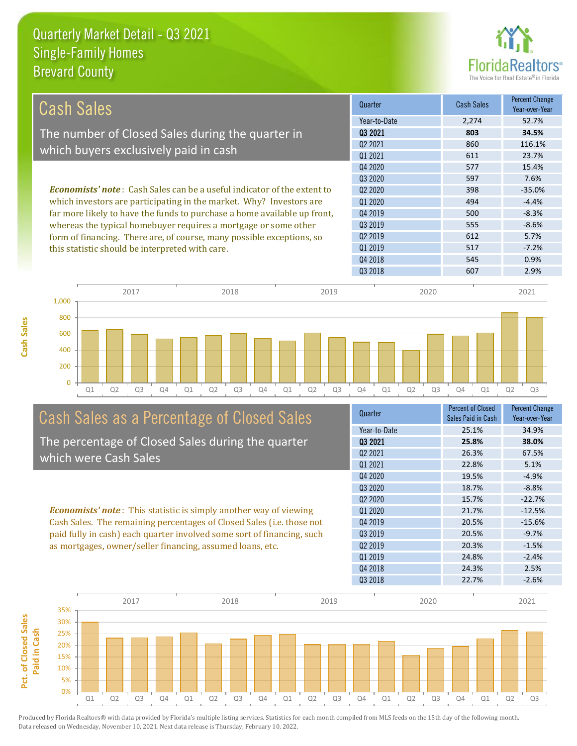**Cash Sales**



| Cash Sales                                                                     | Quarter             | <b>Cash Sales</b> | <b>Percent Change</b><br>Year-over-Year |
|--------------------------------------------------------------------------------|---------------------|-------------------|-----------------------------------------|
|                                                                                | Year-to-Date        | 2.274             | 52.7%                                   |
| The number of Closed Sales during the quarter in                               | 03 2021             | 803               | 34.5%                                   |
|                                                                                | 02 2021             | 860               | 116.1%                                  |
| which buyers exclusively paid in cash                                          | 01 2021             | 611               | 23.7%                                   |
|                                                                                | Q4 2020             | 577               | 15.4%                                   |
|                                                                                | 03 20 20            | 597               | 7.6%                                    |
| <b>Economists' note:</b> Cash Sales can be a useful indicator of the extent to | 02 2020             | 398               | $-35.0%$                                |
| which investors are participating in the market. Why? Investors are            | 01 2020             | 494               | $-4.4%$                                 |
| far more likely to have the funds to purchase a home available up front,       | Q4 2019             | 500               | $-8.3%$                                 |
| whereas the typical homebuyer requires a mortgage or some other                | 03 2019             | 555               | $-8.6%$                                 |
| form of financing. There are, of course, many possible exceptions, so          | Q <sub>2</sub> 2019 | 612               | 5.7%                                    |
| this statistic should be interpreted with care.                                | 01 2019             | 517               | $-7.2%$                                 |
|                                                                                | Q4 2018             | 545               | 0.9%                                    |



# Cash Sales as a Percentage of Closed Sales

The percentage of Closed Sales during the quarter which were Cash Sales

*Economists' note* : This statistic is simply another way of viewing Cash Sales. The remaining percentages of Closed Sales (i.e. those not paid fully in cash) each quarter involved some sort of financing, such as mortgages, owner/seller financing, assumed loans, etc.



Q3 2018 607 2.9%

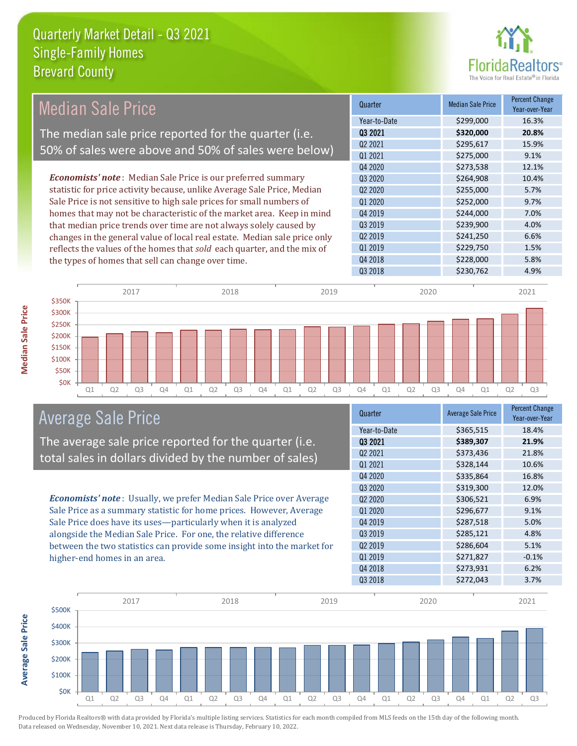

| <b>Median Sale Price</b>                                                  |              | Quarter                         |      | <b>Median Sale Price</b> | Percent Change<br>Year-over-Year |
|---------------------------------------------------------------------------|--------------|---------------------------------|------|--------------------------|----------------------------------|
|                                                                           |              | Year-to-Date                    |      | \$299,000                | 16.3%                            |
| The median sale price reported for the quarter (i.e.                      |              | 03 2021                         |      | \$320,000                | 20.8%                            |
| 50% of sales were above and 50% of sales were below)                      |              | Q <sub>2</sub> 2021             |      | \$295,617                | 15.9%                            |
|                                                                           |              | Q1 2021                         |      | \$275,000                | 9.1%                             |
|                                                                           |              | Q4 2020                         |      | \$273,538                | 12.1%                            |
| <b>Economists' note:</b> Median Sale Price is our preferred summary       |              | Q3 2020                         |      | \$264,908                | 10.4%                            |
| statistic for price activity because, unlike Average Sale Price, Median   |              | Q <sub>2</sub> 20 <sub>20</sub> |      | \$255,000                | 5.7%                             |
| Sale Price is not sensitive to high sale prices for small numbers of      |              | Q1 2020                         |      | \$252,000                | 9.7%                             |
| homes that may not be characteristic of the market area. Keep in mind     |              | Q4 2019                         |      | \$244,000                | 7.0%                             |
| that median price trends over time are not always solely caused by        |              | Q3 2019                         |      | \$239,900                | 4.0%                             |
| changes in the general value of local real estate. Median sale price only |              | Q <sub>2</sub> 2019             |      | \$241,250                | 6.6%                             |
| reflects the values of the homes that sold each quarter, and the mix of   |              | Q1 2019                         |      | \$229,750                | 1.5%                             |
| the types of homes that sell can change over time.                        |              | Q4 2018                         |      | \$228,000                | 5.8%                             |
|                                                                           |              | Q3 2018                         |      | \$230,762                | 4.9%                             |
| 2017                                                                      | 2018<br>2019 |                                 | 2020 |                          | 2021                             |
| \$350K                                                                    |              |                                 |      |                          |                                  |
| \$300K                                                                    |              |                                 |      |                          |                                  |
| <b>\$250K</b>                                                             |              |                                 |      |                          |                                  |

Q1 Q2 Q3 Q4 Q1 Q2 Q3 Q4 Q1 Q2 Q3 Q4 Q1 Q2 Q3 Q4 Q1 Q2 Q3



\$0K \$50K \$100K \$150K \$200K

The average sale price reported for the quarter (i.e. total sales in dollars divided by the number of sales)

*Economists' note* : Usually, we prefer Median Sale Price over Average Sale Price as a summary statistic for home prices. However, Average Sale Price does have its uses—particularly when it is analyzed alongside the Median Sale Price. For one, the relative difference between the two statistics can provide some insight into the market for higher-end homes in an area.

| Quarter                         | <b>Average Sale Price</b> | <b>Percent Change</b><br>Year-over-Year |
|---------------------------------|---------------------------|-----------------------------------------|
| Year-to-Date                    | \$365,515                 | 18.4%                                   |
| 03 2021                         | \$389,307                 | 21.9%                                   |
| Q2 2021                         | \$373,436                 | 21.8%                                   |
| Q1 2021                         | \$328,144                 | 10.6%                                   |
| Q4 2020                         | \$335,864                 | 16.8%                                   |
| Q3 2020                         | \$319,300                 | 12.0%                                   |
| Q <sub>2</sub> 20 <sub>20</sub> | \$306,521                 | 6.9%                                    |
| Q1 2020                         | \$296,677                 | 9.1%                                    |
| Q4 2019                         | \$287,518                 | 5.0%                                    |
| Q3 2019                         | \$285,121                 | 4.8%                                    |
| Q <sub>2</sub> 2019             | \$286,604                 | 5.1%                                    |
| 01 2019                         | \$271,827                 | $-0.1%$                                 |
| Q4 2018                         | \$273,931                 | 6.2%                                    |
| Q3 2018                         | \$272,043                 | 3.7%                                    |



Produced by Florida Realtors® with data provided by Florida's multiple listing services. Statistics for each month compiled from MLS feeds on the 15th day of the following month. Data released on Wednesday, November 10, 2021. Next data release is Thursday, February 10, 2022.

**Average Sale Price**

**Average Sale Price**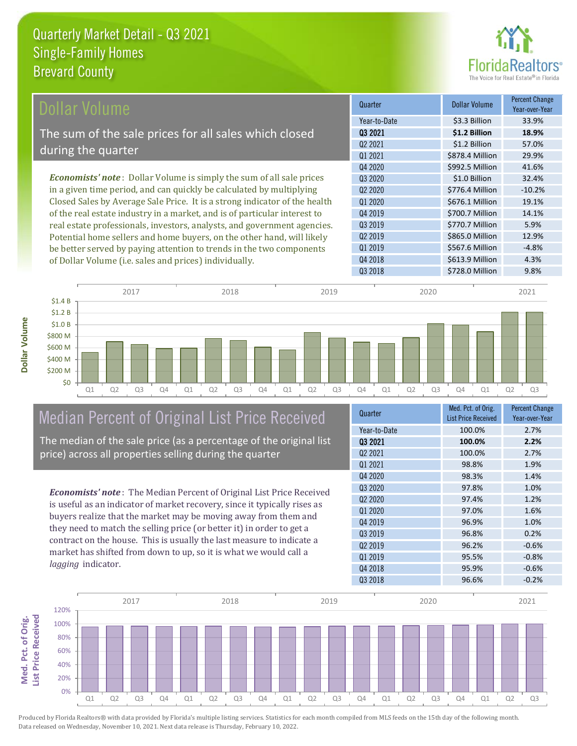

| Dollar Volume                                                                | Quarter             | <b>Dollar Volume</b> | <b>Percent Change</b><br>Year-over-Year |
|------------------------------------------------------------------------------|---------------------|----------------------|-----------------------------------------|
|                                                                              | Year-to-Date        | \$3.3 Billion        | 33.9%                                   |
| The sum of the sale prices for all sales which closed                        | 03 2021             | \$1.2 Billion        | 18.9%                                   |
|                                                                              | Q <sub>2</sub> 2021 | \$1.2 Billion        | 57.0%                                   |
| during the quarter                                                           | 01 2021             | \$878.4 Million      | 29.9%                                   |
|                                                                              | Q4 2020             | \$992.5 Million      | 41.6%                                   |
| <b>Economists' note</b> : Dollar Volume is simply the sum of all sale prices | 03 20 20            | \$1.0 Billion        | 32.4%                                   |
| in a given time period, and can quickly be calculated by multiplying         | 02 2020             | \$776.4 Million      | $-10.2%$                                |
| Closed Sales by Average Sale Price. It is a strong indicator of the health   | Q1 2020             | \$676.1 Million      | 19.1%                                   |
| of the real estate industry in a market, and is of particular interest to    | Q4 2019             | \$700.7 Million      | 14.1%                                   |
| real estate professionals, investors, analysts, and government agencies.     | 03 2019             | \$770.7 Million      | 5.9%                                    |
| Potential home sellers and home buyers, on the other hand, will likely       | Q <sub>2</sub> 2019 | \$865.0 Million      | 12.9%                                   |
| be better served by paying attention to trends in the two components         | Q1 2019             | \$567.6 Million      | $-4.8%$                                 |

Q1 Q2 Q3 Q4 Q1 Q2 Q3 Q4 Q1 Q2 Q3 Q4 Q1 Q2 Q3 Q4 Q1 Q2 Q3 \$0 \$200 M \$400 M \$600 M \$800 M \$1.0 B \$1.2 B \$1.4 B 2017 2018 2019 2020 2021

### Median Percent of Original List Price Received

of Dollar Volume (i.e. sales and prices) individually.

The median of the sale price (as a percentage of the original list price) across all properties selling during the quarter

*Economists' note* : The Median Percent of Original List Price Received is useful as an indicator of market recovery, since it typically rises as buyers realize that the market may be moving away from them and they need to match the selling price (or better it) in order to get a contract on the house. This is usually the last measure to indicate a market has shifted from down to up, so it is what we would call a *lagging* indicator.

| Quarter             | Med. Pct. of Orig.         | <b>Percent Change</b> |
|---------------------|----------------------------|-----------------------|
|                     | <b>List Price Received</b> | Year-over-Year        |
| Year-to-Date        | 100.0%                     | 2.7%                  |
| 03 2021             | 100.0%                     | 2.2%                  |
| Q <sub>2</sub> 2021 | 100.0%                     | 2.7%                  |
| 01 2021             | 98.8%                      | 1.9%                  |
| Q4 2020             | 98.3%                      | 1.4%                  |
| Q3 2020             | 97.8%                      | 1.0%                  |
| 02 2020             | 97.4%                      | 1.2%                  |
| 01 2020             | 97.0%                      | 1.6%                  |
| Q4 2019             | 96.9%                      | 1.0%                  |
| 03 2019             | 96.8%                      | 0.2%                  |
| Q <sub>2</sub> 2019 | 96.2%                      | $-0.6%$               |
| 01 2019             | 95.5%                      | $-0.8%$               |
| Q4 2018             | 95.9%                      | $-0.6%$               |
| Q3 2018             | 96.6%                      | $-0.2%$               |

Q4 2018 **\$613.9 Million** 4.3%

Q3 2018 **\$728.0 Million** 9.8%



Produced by Florida Realtors® with data provided by Florida's multiple listing services. Statistics for each month compiled from MLS feeds on the 15th day of the following month. Data released on Wednesday, November 10, 2021. Next data release is Thursday, February 10, 2022.

**Med. Pct. of Orig.** 

Med. Pct. of Orig.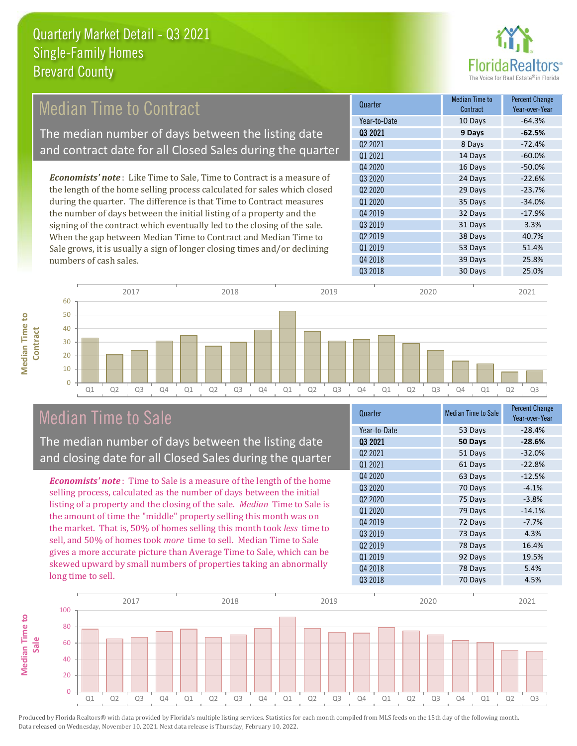

# *Economists' note* : Like Time to Sale, Time to Contract is a measure of Median Time to Contract The median number of days between the listing date and contract date for all Closed Sales during the quarter

the length of the home selling process calculated for sales which closed during the quarter. The difference is that Time to Contract measures the number of days between the initial listing of a property and the signing of the contract which eventually led to the closing of the sale. When the gap between Median Time to Contract and Median Time to Sale grows, it is usually a sign of longer closing times and/or declining numbers of cash sales.



#### Q1 Q2 Q3 Q4 Q1 Q2 Q3 Q4 Q1 Q2 Q3 Q4 Q1 Q2 Q3 Q4 Q1 Q2 Q3  $\Omega$ Median Time to Sale

**Median Time to Contract**

**Median Time to** 

The median number of days between the listing date and closing date for all Closed Sales during the quarter

*Economists' note* : Time to Sale is a measure of the length of the home selling process, calculated as the number of days between the initial listing of a property and the closing of the sale. *Median* Time to Sale is the amount of time the "middle" property selling this month was on the market. That is, 50% of homes selling this month took *less* time to sell, and 50% of homes took *more* time to sell. Median Time to Sale gives a more accurate picture than Average Time to Sale, which can be skewed upward by small numbers of properties taking an abnormally long time to sell.

| Quarter                         | <b>Median Time to Sale</b> | <b>Percent Change</b><br>Year-over-Year |
|---------------------------------|----------------------------|-----------------------------------------|
| Year-to-Date                    | 53 Days                    | $-28.4%$                                |
| 03 2021                         | 50 Days                    | $-28.6%$                                |
| 02 2021                         | 51 Days                    | $-32.0%$                                |
| 01 2021                         | 61 Days                    | $-22.8%$                                |
| Q4 2020                         | 63 Days                    | $-12.5%$                                |
| Q3 2020                         | 70 Days                    | $-4.1%$                                 |
| Q <sub>2</sub> 20 <sub>20</sub> | 75 Days                    | $-3.8%$                                 |
| Q1 2020                         | 79 Days                    | $-14.1%$                                |
| Q4 2019                         | 72 Days                    | $-7.7%$                                 |
| Q3 2019                         | 73 Days                    | 4.3%                                    |
| Q <sub>2</sub> 2019             | 78 Days                    | 16.4%                                   |
| 01 2019                         | 92 Days                    | 19.5%                                   |
| Q4 2018                         | 78 Days                    | 5.4%                                    |
| Q3 2018                         | 70 Days                    | 4.5%                                    |
|                                 |                            |                                         |



2017 2018 2019 2020 2021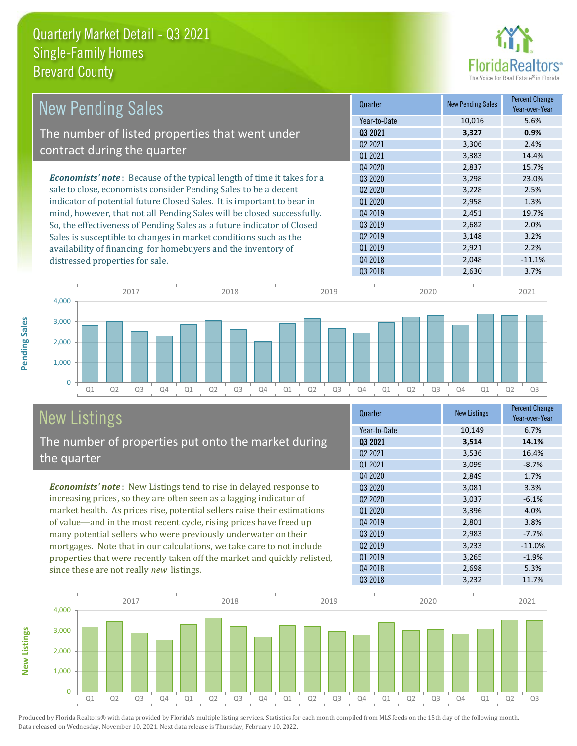

| <b>New Pending Sales</b>                                                      | Quarter             | <b>New Pending Sales</b> | <b>Percent Change</b><br>Year-over-Year |
|-------------------------------------------------------------------------------|---------------------|--------------------------|-----------------------------------------|
|                                                                               | Year-to-Date        | 10,016                   | 5.6%                                    |
| The number of listed properties that went under                               | 03 2021             | 3,327                    | 0.9%                                    |
| contract during the quarter                                                   | Q <sub>2</sub> 2021 | 3,306                    | 2.4%                                    |
|                                                                               | 01 2021             | 3,383                    | 14.4%                                   |
|                                                                               | Q4 2020             | 2,837                    | 15.7%                                   |
| <b>Economists' note:</b> Because of the typical length of time it takes for a | 03 2020             | 3,298                    | 23.0%                                   |
| sale to close, economists consider Pending Sales to be a decent               | 02 2020             | 3,228                    | 2.5%                                    |
| indicator of potential future Closed Sales. It is important to bear in        | 01 2020             | 2,958                    | 1.3%                                    |
| mind, however, that not all Pending Sales will be closed successfully.        | Q4 2019             | 2,451                    | 19.7%                                   |
| So, the effectiveness of Pending Sales as a future indicator of Closed        | 03 2019             | 2,682                    | 2.0%                                    |
| Sales is susceptible to changes in market conditions such as the              | Q <sub>2</sub> 2019 | 3,148                    | 3.2%                                    |
| availability of financing for homebuyers and the inventory of                 | 01 2019             | 2,921                    | 2.2%                                    |
| distressed properties for sale.                                               | Q4 2018             | 2,048                    | $-11.1%$                                |
|                                                                               | Q3 2018             | 2,630                    | 3.7%                                    |



# New Listings

**New Listings**

**Pending Sales**

**Pending Sales** 

The number of properties put onto the market during the quarter

*Economists' note* : New Listings tend to rise in delayed response to increasing prices, so they are often seen as a lagging indicator of market health. As prices rise, potential sellers raise their estimations of value—and in the most recent cycle, rising prices have freed up many potential sellers who were previously underwater on their mortgages. Note that in our calculations, we take care to not include properties that were recently taken off the market and quickly relisted, since these are not really *new* listings.

| Quarter                         | <b>New Listings</b> | <b>Percent Change</b><br>Year-over-Year |
|---------------------------------|---------------------|-----------------------------------------|
| Year-to-Date                    | 10,149              | 6.7%                                    |
| Q3 2021                         | 3,514               | 14.1%                                   |
| 02 2021                         | 3,536               | 16.4%                                   |
| Q1 2021                         | 3,099               | $-8.7%$                                 |
| Q4 2020                         | 2,849               | 1.7%                                    |
| Q3 2020                         | 3,081               | 3.3%                                    |
| Q <sub>2</sub> 20 <sub>20</sub> | 3,037               | $-6.1%$                                 |
| 01 2020                         | 3,396               | 4.0%                                    |
| Q4 2019                         | 2,801               | 3.8%                                    |
| Q3 2019                         | 2,983               | $-7.7%$                                 |
| Q <sub>2</sub> 2019             | 3,233               | $-11.0%$                                |
| Q1 2019                         | 3,265               | $-1.9%$                                 |
| Q4 2018                         | 2,698               | 5.3%                                    |
| Q3 2018                         | 3,232               | 11.7%                                   |

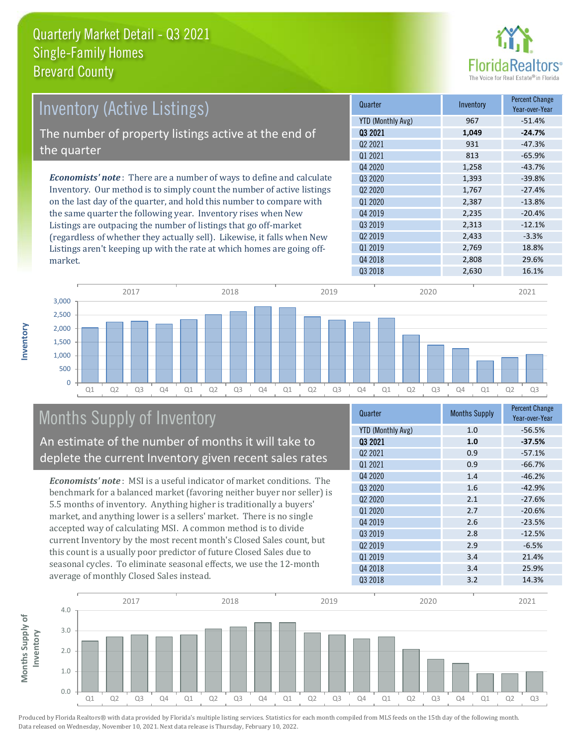

| Inventory (Active Listings)                                                  | Quarter             | Inventory | <b>Percent Change</b><br>Year-over-Year |
|------------------------------------------------------------------------------|---------------------|-----------|-----------------------------------------|
|                                                                              | YTD (Monthly Avg)   | 967       | $-51.4%$                                |
| The number of property listings active at the end of                         | 03 2021             | 1.049     | $-24.7%$                                |
|                                                                              | Q <sub>2</sub> 2021 | 931       | $-47.3%$                                |
| the quarter                                                                  | 01 2021             | 813       | $-65.9%$                                |
|                                                                              | 04 2020             | 1,258     | $-43.7%$                                |
| <b>Economists' note</b> : There are a number of ways to define and calculate | 03 2020             | 1,393     | $-39.8%$                                |
| Inventory. Our method is to simply count the number of active listings       | 02 2020             | 1.767     | $-27.4%$                                |
| on the last day of the quarter, and hold this number to compare with         | Q1 2020             | 2,387     | $-13.8%$                                |
| the same quarter the following year. Inventory rises when New                | Q4 2019             | 2,235     | $-20.4%$                                |
| Listings are outpacing the number of listings that go off-market             | Q3 2019             | 2,313     | $-12.1%$                                |
| (regardless of whether they actually sell). Likewise, it falls when New      | 02 2019             | 2,433     | $-3.3%$                                 |

Q1 Q2 Q3 Q4 Q1 Q2 Q3 Q4 Q1 Q2 Q3 Q4 Q1 Q2 Q3 Q4 Q1 Q2 Q3  $\Omega$ 500 1,000 1,500 2,000 2,500 3,000 2017 2018 2019 2020 2021

# Months Supply of Inventory

An estimate of the number of months it will take to deplete the current Inventory given recent sales rates

Listings aren't keeping up with the rate at which homes are going off-

*Economists' note* : MSI is a useful indicator of market conditions. The benchmark for a balanced market (favoring neither buyer nor seller) is 5.5 months of inventory. Anything higher is traditionally a buyers' market, and anything lower is a sellers' market. There is no single accepted way of calculating MSI. A common method is to divide current Inventory by the most recent month's Closed Sales count, but this count is a usually poor predictor of future Closed Sales due to seasonal cycles. To eliminate seasonal effects, we use the 12-month average of monthly Closed Sales instead.

| Quarter                         | <b>Months Supply</b> | <b>Percent Change</b><br>Year-over-Year |
|---------------------------------|----------------------|-----------------------------------------|
| <b>YTD (Monthly Avg)</b>        | 1.0                  | $-56.5%$                                |
| 03 2021                         | 1.0                  | $-37.5%$                                |
| 02 2021                         | 0.9                  | $-57.1%$                                |
| Q1 2021                         | 0.9                  | $-66.7%$                                |
| Q4 2020                         | 1.4                  | $-46.2%$                                |
| Q3 2020                         | 1.6                  | $-42.9%$                                |
| Q <sub>2</sub> 20 <sub>20</sub> | 2.1                  | $-27.6%$                                |
| Q1 2020                         | 2.7                  | $-20.6%$                                |
| Q4 2019                         | 2.6                  | $-23.5%$                                |
| Q3 2019                         | 2.8                  | $-12.5%$                                |
| Q <sub>2</sub> 2019             | 2.9                  | $-6.5%$                                 |
| Q1 2019                         | 3.4                  | 21.4%                                   |
| Q4 2018                         | 3.4                  | 25.9%                                   |
| Q3 2018                         | 3.2                  | 14.3%                                   |

Q3 2018 2,630 16.1%

Q1 2019 2,769 18.8% Q4 2018 2,808 29.6%



Produced by Florida Realtors® with data provided by Florida's multiple listing services. Statistics for each month compiled from MLS feeds on the 15th day of the following month. Data released on Wednesday, November 10, 2021. Next data release is Thursday, February 10, 2022.

market.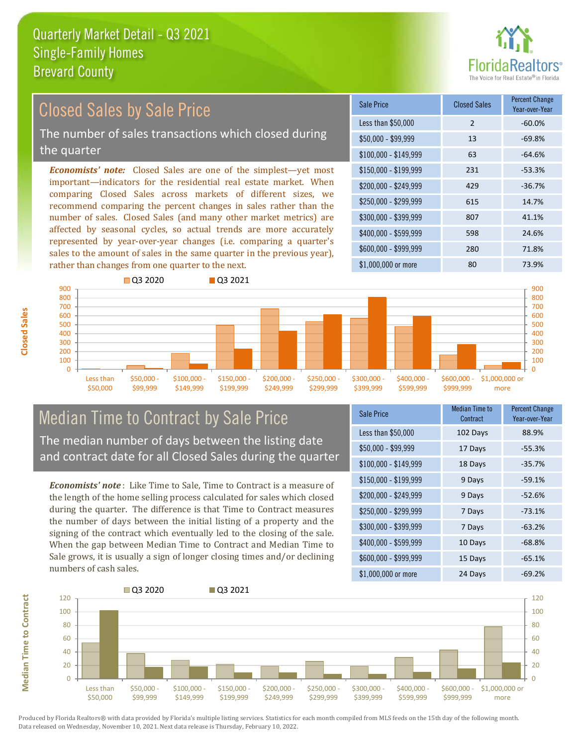

### Closed Sales by Sale Price

The number of sales transactions which closed during the quarter

*Economists' note:* Closed Sales are one of the simplest—yet most important—indicators for the residential real estate market. When comparing Closed Sales across markets of different sizes, we recommend comparing the percent changes in sales rather than the number of sales. Closed Sales (and many other market metrics) are affected by seasonal cycles, so actual trends are more accurately represented by year-over-year changes (i.e. comparing a quarter's sales to the amount of sales in the same quarter in the previous year), rather than changes from one quarter to the next.

| Sale Price            | <b>Closed Sales</b> | <b>Percent Change</b><br>Year-over-Year |
|-----------------------|---------------------|-----------------------------------------|
| Less than \$50,000    | $\overline{2}$      | $-60.0%$                                |
| \$50,000 - \$99,999   | 13                  | $-69.8%$                                |
| $$100,000 - $149,999$ | 63                  | $-64.6%$                                |
| $$150,000 - $199,999$ | 231                 | $-53.3%$                                |
| \$200,000 - \$249,999 | 429                 | $-36.7%$                                |
| \$250,000 - \$299,999 | 615                 | 14.7%                                   |
| \$300,000 - \$399,999 | 807                 | 41.1%                                   |
| \$400,000 - \$599,999 | 598                 | 24.6%                                   |
| \$600,000 - \$999,999 | 280                 | 71.8%                                   |
| \$1,000,000 or more   | 80                  | 73.9%                                   |



### Median Time to Contract by Sale Price The median number of days between the listing date and contract date for all Closed Sales during the quarter

*Economists' note* : Like Time to Sale, Time to Contract is a measure of the length of the home selling process calculated for sales which closed during the quarter. The difference is that Time to Contract measures the number of days between the initial listing of a property and the signing of the contract which eventually led to the closing of the sale. When the gap between Median Time to Contract and Median Time to Sale grows, it is usually a sign of longer closing times and/or declining numbers of cash sales.

| Sale Price            | Median Time to<br>Contract | <b>Percent Change</b><br>Year-over-Year |
|-----------------------|----------------------------|-----------------------------------------|
| Less than \$50,000    | 102 Days                   | 88.9%                                   |
| $$50,000 - $99,999$   | 17 Days                    | $-55.3%$                                |
| $$100,000 - $149,999$ | 18 Days                    | $-35.7%$                                |
| $$150,000 - $199,999$ | 9 Days                     | $-59.1%$                                |
| \$200,000 - \$249,999 | 9 Days                     | $-52.6%$                                |
| \$250,000 - \$299,999 | 7 Days                     | $-73.1%$                                |
| \$300,000 - \$399,999 | 7 Days                     | $-63.2%$                                |
| \$400,000 - \$599,999 | 10 Days                    | $-68.8%$                                |
| \$600,000 - \$999,999 | 15 Days                    | $-65.1%$                                |
| \$1,000,000 or more   | 24 Days                    | $-69.2%$                                |



Produced by Florida Realtors® with data provided by Florida's multiple listing services. Statistics for each month compiled from MLS feeds on the 15th day of the following month. Data released on Wednesday, November 10, 2021. Next data release is Thursday, February 10, 2022.

**Median Time to Contract**

**Median Time to Contract**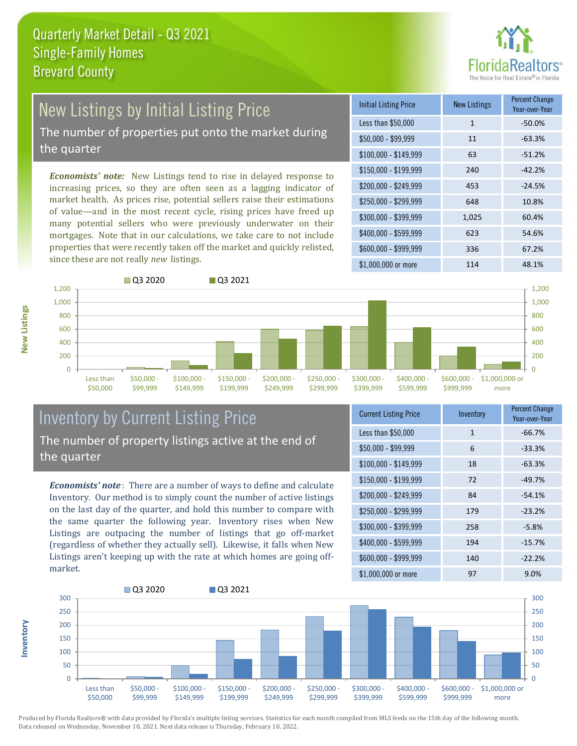

## New Listings by Initial Listing Price

The number of properties put onto the market during the quarter

*Economists' note:* New Listings tend to rise in delayed response to increasing prices, so they are often seen as a lagging indicator of market health. As prices rise, potential sellers raise their estimations of value—and in the most recent cycle, rising prices have freed up many potential sellers who were previously underwater on their mortgages. Note that in our calculations, we take care to not include properties that were recently taken off the market and quickly relisted, since these are not really *new* listings.

| <b>Initial Listing Price</b> | <b>New Listings</b> | <b>Percent Change</b><br>Year-over-Year |
|------------------------------|---------------------|-----------------------------------------|
| Less than \$50,000           | 1                   | $-50.0%$                                |
| \$50,000 - \$99,999          | 11                  | $-63.3%$                                |
| $$100,000 - $149,999$        | 63                  | $-51.2%$                                |
| $$150,000 - $199,999$        | 240                 | $-42.2%$                                |
| \$200,000 - \$249,999        | 453                 | $-24.5%$                                |
| \$250,000 - \$299,999        | 648                 | 10.8%                                   |
| \$300,000 - \$399,999        | 1,025               | 60.4%                                   |
| \$400,000 - \$599,999        | 623                 | 54.6%                                   |
| \$600,000 - \$999,999        | 336                 | 67.2%                                   |
| \$1,000,000 or more          | 114                 | 48.1%                                   |



### Inventory by Current Listing Price The number of property listings active at the end of the quarter

*Economists' note* : There are a number of ways to define and calculate Inventory. Our method is to simply count the number of active listings on the last day of the quarter, and hold this number to compare with the same quarter the following year. Inventory rises when New Listings are outpacing the number of listings that go off-market (regardless of whether they actually sell). Likewise, it falls when New Listings aren't keeping up with the rate at which homes are going offmarket.

| <b>Current Listing Price</b> | Inventory | Percent Change<br>Year-over-Year |
|------------------------------|-----------|----------------------------------|
| Less than \$50,000           | 1         | $-66.7%$                         |
| $$50,000 - $99,999$          | 6         | $-33.3%$                         |
| $$100,000 - $149,999$        | 18        | $-63.3%$                         |
| $$150,000 - $199,999$        | 72        | $-49.7%$                         |
| \$200,000 - \$249,999        | 84        | $-54.1%$                         |
| \$250,000 - \$299,999        | 179       | $-23.2%$                         |
| \$300,000 - \$399,999        | 258       | $-5.8%$                          |
| \$400,000 - \$599,999        | 194       | $-15.7%$                         |
| \$600,000 - \$999,999        | 140       | $-22.2%$                         |
| \$1,000,000 or more          | 97        | 9.0%                             |



Produced by Florida Realtors® with data provided by Florida's multiple listing services. Statistics for each month compiled from MLS feeds on the 15th day of the following month. Data released on Wednesday, November 10, 2021. Next data release is Thursday, February 10, 2022.

**Inventory**